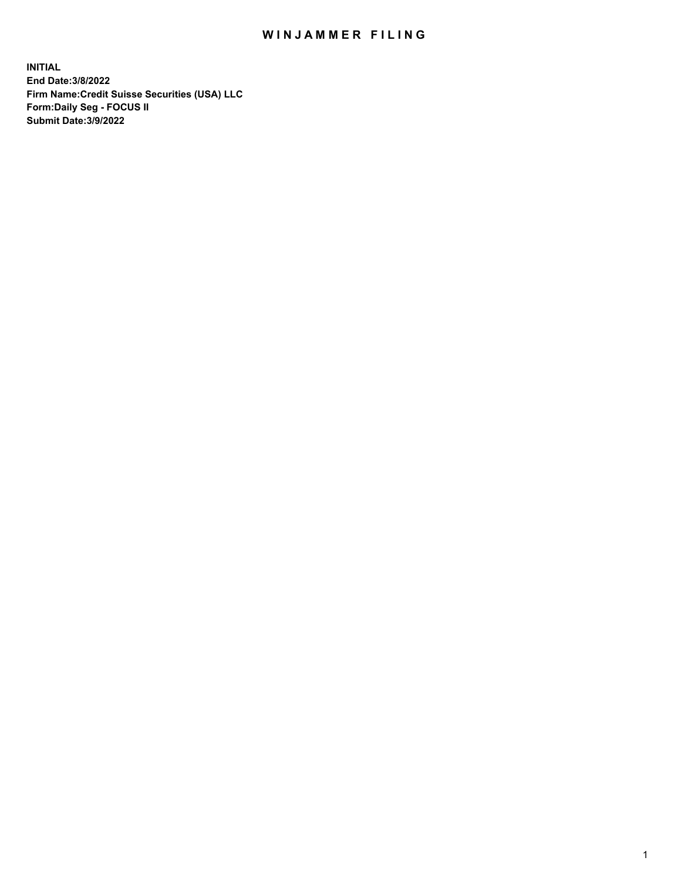# WIN JAMMER FILING

**INITIAL End Date:3/8/2022 Firm Name:Credit Suisse Securities (USA) LLC Form:Daily Seg - FOCUS II Submit Date:3/9/2022**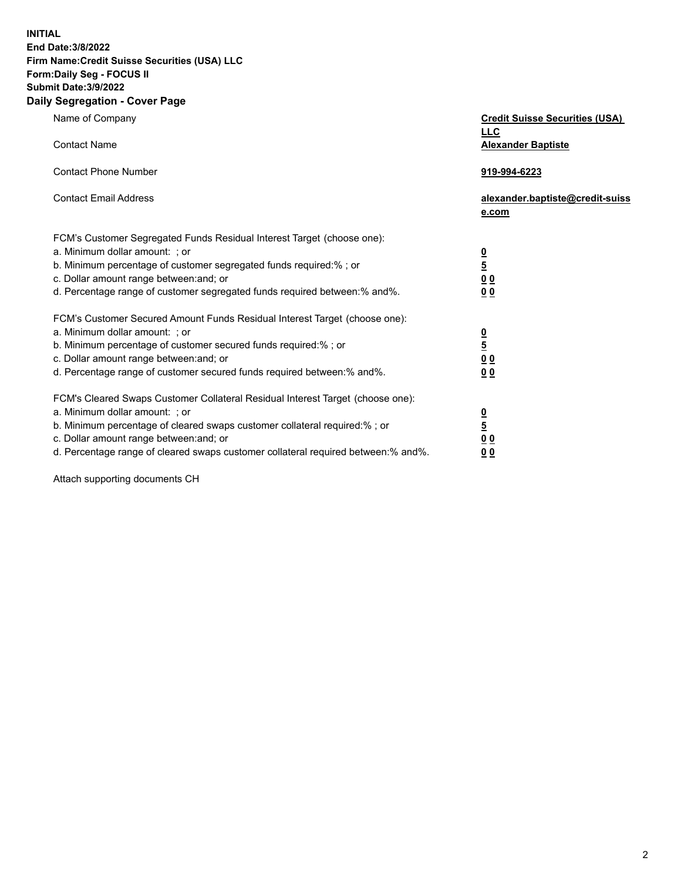**INITIAL** 

### **End Date:3/8/2022 Firm Name:Credit Suisse Securities (USA) LLC Form:Daily Seg - FOCUS II**

## **Submit Date:3/9/2022**

### **Daily Segregation - Cover Page**

| Name of Company                                                                                                                                                                                                                                                                                                                | <b>Credit Suisse Securities (USA)</b><br><b>LLC</b>                |
|--------------------------------------------------------------------------------------------------------------------------------------------------------------------------------------------------------------------------------------------------------------------------------------------------------------------------------|--------------------------------------------------------------------|
| <b>Contact Name</b>                                                                                                                                                                                                                                                                                                            | <b>Alexander Baptiste</b>                                          |
| <b>Contact Phone Number</b>                                                                                                                                                                                                                                                                                                    | 919-994-6223                                                       |
| <b>Contact Email Address</b>                                                                                                                                                                                                                                                                                                   | alexander.baptiste@credit-suiss<br>e.com                           |
| FCM's Customer Segregated Funds Residual Interest Target (choose one):<br>a. Minimum dollar amount: ; or<br>b. Minimum percentage of customer segregated funds required:% ; or<br>c. Dollar amount range between: and; or<br>d. Percentage range of customer segregated funds required between: % and %.                       | $\frac{\frac{0}{5}}{\frac{0}{0}}$<br>0 <sub>0</sub>                |
| FCM's Customer Secured Amount Funds Residual Interest Target (choose one):<br>a. Minimum dollar amount: ; or<br>b. Minimum percentage of customer secured funds required:%; or<br>c. Dollar amount range between: and; or<br>d. Percentage range of customer secured funds required between:% and%.                            | $\frac{\frac{0}{5}}{\frac{0}{0}}$<br>0 <sub>0</sub>                |
| FCM's Cleared Swaps Customer Collateral Residual Interest Target (choose one):<br>a. Minimum dollar amount: ; or<br>b. Minimum percentage of cleared swaps customer collateral required:% ; or<br>c. Dollar amount range between: and; or<br>d. Percentage range of cleared swaps customer collateral required between:% and%. | $\frac{0}{5}$<br>$\underline{0}$ $\underline{0}$<br>0 <sub>0</sub> |

Attach supporting documents CH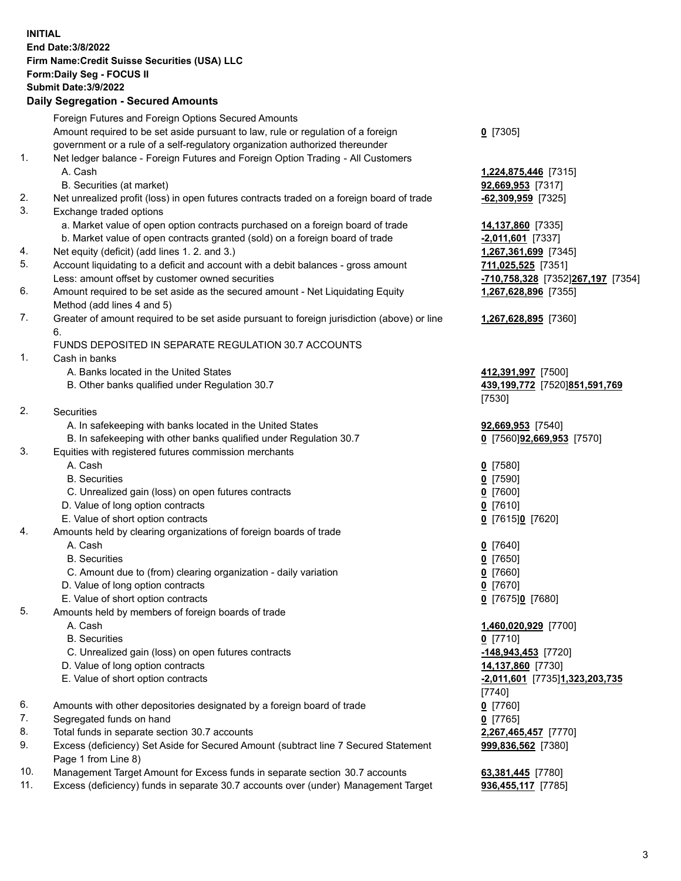**INITIAL End Date:3/8/2022 Firm Name:Credit Suisse Securities (USA) LLC Form:Daily Seg - FOCUS II Submit Date:3/9/2022** 

### **Daily Segregation - Secured Amounts**

|     | Foreign Futures and Foreign Options Secured Amounts                                                        |                                   |
|-----|------------------------------------------------------------------------------------------------------------|-----------------------------------|
|     | Amount required to be set aside pursuant to law, rule or regulation of a foreign                           | $Q$ [7305]                        |
|     | government or a rule of a self-regulatory organization authorized thereunder                               |                                   |
| 1.  | Net ledger balance - Foreign Futures and Foreign Option Trading - All Customers                            |                                   |
|     | A. Cash                                                                                                    | 1,224,875,446 [7315]              |
|     | B. Securities (at market)                                                                                  | 92,669,953 [7317]                 |
| 2.  | Net unrealized profit (loss) in open futures contracts traded on a foreign board of trade                  | $-62,309,959$ [7325]              |
| 3.  | Exchange traded options                                                                                    |                                   |
|     | a. Market value of open option contracts purchased on a foreign board of trade                             | 14,137,860 [7335]                 |
|     | b. Market value of open contracts granted (sold) on a foreign board of trade                               | $-2,011,601$ [7337]               |
| 4.  | Net equity (deficit) (add lines 1. 2. and 3.)                                                              | 1,267,361,699 [7345]              |
| 5.  | Account liquidating to a deficit and account with a debit balances - gross amount                          | 711,025,525 [7351]                |
|     | Less: amount offset by customer owned securities                                                           | -710,758,328 [7352]267,197 [7354] |
| 6.  | Amount required to be set aside as the secured amount - Net Liquidating Equity                             | 1,267,628,896 [7355]              |
|     | Method (add lines 4 and 5)                                                                                 |                                   |
| 7.  | Greater of amount required to be set aside pursuant to foreign jurisdiction (above) or line                | 1,267,628,895 [7360]              |
|     | 6.                                                                                                         |                                   |
|     | FUNDS DEPOSITED IN SEPARATE REGULATION 30.7 ACCOUNTS                                                       |                                   |
| 1.  | Cash in banks                                                                                              |                                   |
|     | A. Banks located in the United States                                                                      | 412,391,997 [7500]                |
|     | B. Other banks qualified under Regulation 30.7                                                             | 439,199,772 [7520]851,591,769     |
|     |                                                                                                            | [7530]                            |
| 2.  | Securities                                                                                                 |                                   |
|     | A. In safekeeping with banks located in the United States                                                  | 92,669,953 [7540]                 |
|     | B. In safekeeping with other banks qualified under Regulation 30.7                                         | 0 [7560]92,669,953 [7570]         |
| 3.  | Equities with registered futures commission merchants                                                      |                                   |
|     | A. Cash                                                                                                    | $0$ [7580]                        |
|     | <b>B.</b> Securities                                                                                       | $0$ [7590]                        |
|     | C. Unrealized gain (loss) on open futures contracts                                                        | $Q$ [7600]                        |
|     | D. Value of long option contracts                                                                          | $0$ [7610]                        |
|     | E. Value of short option contracts                                                                         | 0 [7615]0 [7620]                  |
| 4.  | Amounts held by clearing organizations of foreign boards of trade                                          |                                   |
|     | A. Cash                                                                                                    | $0$ [7640]                        |
|     | <b>B.</b> Securities                                                                                       | $Q$ [7650]                        |
|     | C. Amount due to (from) clearing organization - daily variation                                            | $0$ [7660]                        |
|     | D. Value of long option contracts                                                                          | $0$ [7670]                        |
|     | E. Value of short option contracts                                                                         | 0 [7675]0 [7680]                  |
| 5.  | Amounts held by members of foreign boards of trade                                                         |                                   |
|     | A. Cash                                                                                                    | 1,460,020,929 [7700]              |
|     | <b>B.</b> Securities                                                                                       | $0$ [7710]                        |
|     | C. Unrealized gain (loss) on open futures contracts                                                        | $-148,943,453$ [7720]             |
|     | D. Value of long option contracts                                                                          | 14,137,860 [7730]                 |
|     | E. Value of short option contracts                                                                         | -2,011,601 [7735]1,323,203,735    |
|     |                                                                                                            | $[7740]$                          |
| 6.  | Amounts with other depositories designated by a foreign board of trade                                     | $0$ [7760]                        |
| 7.  | Segregated funds on hand                                                                                   | $0$ [7765]                        |
| 8.  | Total funds in separate section 30.7 accounts                                                              | 2,267,465,457 [7770]              |
| 9.  | Excess (deficiency) Set Aside for Secured Amount (subtract line 7 Secured Statement<br>Page 1 from Line 8) | 999,836,562 [7380]                |
| 10. | Management Target Amount for Excess funds in separate section 30.7 accounts                                | 63,381,445 [7780]                 |
| 11. | Excess (deficiency) funds in separate 30.7 accounts over (under) Management Target                         | 936,455,117 [7785]                |
|     |                                                                                                            |                                   |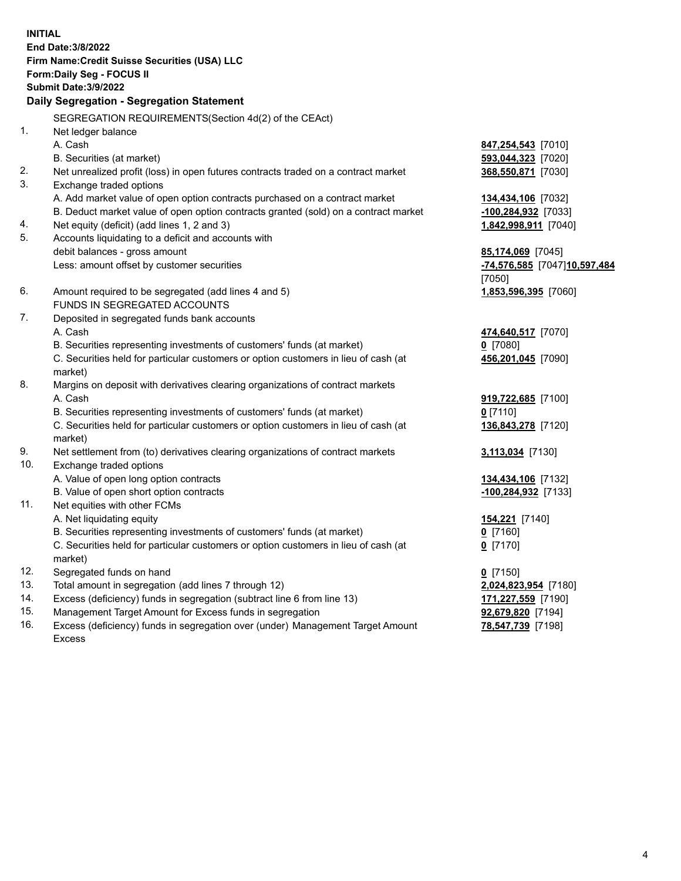15. Management Target Amount for Excess funds in segregation **92,679,820** [7194] **INITIAL End Date:3/8/2022 Firm Name:Credit Suisse Securities (USA) LLC Form:Daily Seg - FOCUS II Submit Date:3/9/2022 Daily Segregation - Segregation Statement**  SEGREGATION REQUIREMENTS(Section 4d(2) of the CEAct) 1. Net ledger balance A. Cash **847,254,543** [7010] B. Securities (at market) **593,044,323** [7020] 2. Net unrealized profit (loss) in open futures contracts traded on a contract market **368,550,871** [7030] 3. Exchange traded options A. Add market value of open option contracts purchased on a contract market **134,434,106** [7032] B. Deduct market value of open option contracts granted (sold) on a contract market **-100,284,932** [7033] 4. Net equity (deficit) (add lines 1, 2 and 3) **1,842,998,911** [7040] 5. Accounts liquidating to a deficit and accounts with debit balances - gross amount **85,174,069** [7045] Less: amount offset by customer securities **-74,576,585** [7047] **10,597,484**  [7050] 6. Amount required to be segregated (add lines 4 and 5) **1,853,596,395** [7060] FUNDS IN SEGREGATED ACCOUNTS 7. Deposited in segregated funds bank accounts A. Cash **474,640,517** [7070] B. Securities representing investments of customers' funds (at market) **0** [7080] C. Securities held for particular customers or option customers in lieu of cash (at **456,201,045** [7090] market) 8. Margins on deposit with derivatives clearing organizations of contract markets A. Cash **919,722,685** [7100] B. Securities representing investments of customers' funds (at market) **0** [7110] C. Securities held for particular customers or option customers in lieu of cash (at **136,843,278** [7120] market) 9. Net settlement from (to) derivatives clearing organizations of contract markets **3,113,034** [7130] 10. Exchange traded options A. Value of open long option contracts **134,434,106** [7132] B. Value of open short option contracts **and the set of our original contracts -100,284,932** [7133] 11. Net equities with other FCMs A. Net liquidating equity **154,221** [7140] B. Securities representing investments of customers' funds (at market) **0** [7160] C. Securities held for particular customers or option customers in lieu of cash (at **0** [7170] market) 12. Segregated funds on hand **0** [7150] 13. Total amount in segregation (add lines 7 through 12) **2,024,823,954** [7180] 14. Excess (deficiency) funds in segregation (subtract line 6 from line 13) **171,227,559** [7190]

 16. Excess (deficiency) funds in segregation over (under) Management Target Amount **78,547,739** [7198] Excess